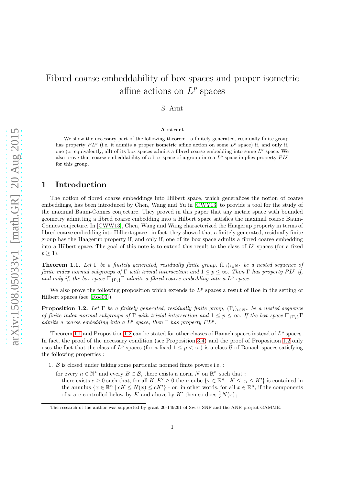# Fibred coarse embeddability of box spaces and proper isometric affine actions on  $L^p$  spaces

### S. Arnt

#### Abstract

We show the necessary part of the following theorem : a finitely generated, residually finite group has property  $PL^p$  (i.e. it admits a proper isometric affine action on some  $L^p$  space) if, and only if, one (or equivalently, all) of its box spaces admits a fibred coarse embedding into some  $L^p$  space. We also prove that coarse embeddability of a box space of a group into a  $L^p$  space implies property  $PL^p$ for this group.

## 1 Introduction

The notion of fibred coarse embeddings into Hilbert space, which generalizes the notion of coarse embeddings, has been introduced by Chen, Wang and Yu in [\[CWY13\]](#page-8-0) to provide a tool for the study of the maximal Baum-Connes conjecture. They proved in this paper that any metric space with bounded geometry admitting a fibred coarse embedding into a Hilbert space satisfies the maximal coarse Baum-Connes conjecture. In [\[CWW13\]](#page-8-1), Chen, Wang and Wang characterized the Haagerup property in terms of fibred coarse embedding into Hilbert space : in fact, they showed that a finitely generated, residually finite group has the Haagerup property if, and only if, one of its box space admits a fibred coarse embedding into a Hilbert space. The goal of this note is to extend this result to the class of  $L^p$  spaces (for a fixed  $p \geq 1$ ).

<span id="page-0-0"></span>**Theorem 1.1.** Let  $\Gamma$  be a finitely generated, residually finite group,  $(\Gamma_i)_{i\in N^*}$  be a nested sequence of finite index normal subgroups of  $\Gamma$  with trivial intersection and  $1 \leq p \leq \infty$ . Then  $\Gamma$  has property PLP if, and only if, the box space  $\Box_{\{\Gamma_i\}} \Gamma$  admits a fibred coarse embedding into a  $L^p$  space.

We also prove the following proposition which extends to  $L^p$  spaces a result of Roe in the setting of Hilbert spaces (see [\[Roe03\]](#page-8-2)).

<span id="page-0-1"></span>**Proposition 1.2.** Let  $\Gamma$  be a finitely generated, residually finite group,  $(\Gamma_i)_{i\in N^*}$  be a nested sequence of finite index normal subgroups of Γ with trivial intersection and  $1 \leq p \leq \infty$ . If the box space  $\Box_{\{\Gamma_i\}}\Gamma$ admits a coarse embedding into a  $L^p$  space, then  $\Gamma$  has property  $PL^p$ .

Theorem [1.1](#page-0-0) and Proposition [1.2](#page-0-1) can be stated for other classes of Banach spaces instead of  $L^p$  spaces. In fact, the proof of the necessary condition (see Proposition [3.4\)](#page-6-0) and the proof of Proposition [1.2](#page-0-1) only uses the fact that the class of  $L^p$  spaces (for a fixed  $1 \leq p < \infty$ ) is a class  $\mathcal B$  of Banach spaces satisfying the following properties :

- 1. B is closed under taking some particular normed finite powers i.e. :
	- for every  $n \in \mathbb{N}^*$  and every  $B \in \mathcal{B}$ , there exists a norm N on  $\mathbb{R}^n$  such that :
	- there exists  $c \geq 0$  such that, for all  $K, K' \geq 0$  the n-cube  $\{x \in \mathbb{R}^n \mid K \leq x_i \leq K'\}$  is contained in the annulus  $\{x \in \mathbb{R}^n \mid cK \leq N(x) \leq cK'\}$  - or, in other words, for all  $x \in \mathbb{R}^n$ , if the components of x are controlled below by K and above by K' then so does  $\frac{1}{c}N(x)$ ;

The research of the author was supported by grant 20-149261 of Swiss SNF and the ANR project GAMME.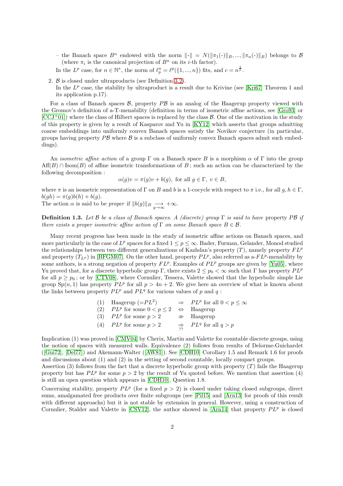- the Banach space  $B^n$  endowed with the norm  $\|\cdot\| = N(\|\pi_1(\cdot)\|_B, \dots, \|\pi_n(\cdot)\|_B)$  belongs to B (where  $\pi_i$  is the canonical projection of  $B^n$  on its *i*-th factor).
- In the  $L^p$  case, for  $n \in \mathbb{N}^*$ , the norm of  $\ell_p^n = \ell^p(\{1, ..., n\})$  fits, and  $c = n^{\frac{1}{p}}$ .
- 2. B is closed under ultraproducts (see Definition [3.2\)](#page-4-0).

In the  $L^p$  case, the stability by ultraproduct is a result due to Krivine (see [\[Kri67\]](#page-8-3) Theorem 1 and its application p.17).

For a class of Banach spaces  $\mathcal{B}$ , property  $\overline{PB}$  is an analog of the Haagerup property viewed with the Gromov's definition of a-T-menability (definition in terms of isometric affine actions, see [\[Gro93\]](#page-8-4) or  $[CCJ<sup>+</sup>01]$  $[CCJ<sup>+</sup>01]$ ) where the class of Hilbert spaces is replaced by the class  $\beta$ . One of the motivation in the study of this property is given by a result of Kasparov and Yu in [\[KY12\]](#page-8-5) which asserts that groups admitting coarse embeddings into uniformly convex Banach spaces satisfy the Novikov conjecture (in particular, groups having property  $\overline{PB}$  where  $\overline{B}$  is a subclass of uniformly convex Banach spaces admit such embeddings).

An *isometric affine action* of a group  $\Gamma$  on a Banach space B is a morphism  $\alpha$  of  $\Gamma$  into the group  $Aff(B) \cap Isom(B)$  of affine isometric transformations of B; such an action can be characterized by the following decomposition :

$$
\alpha(g)v = \pi(g)v + b(g), \text{ for all } g \in \Gamma, v \in B,
$$

where  $\pi$  is an isometric representation of  $\Gamma$  on B and b is a 1-cocycle with respect to  $\pi$  i.e., for all  $g, h \in \Gamma$ ,  $b(gh) = \pi(g)b(h) + b(g).$ 

The action  $\alpha$  is said to be *proper* if  $||b(g)||_B \longrightarrow_{g \to \infty} +\infty$ .

**Definition 1.3.** Let  $\beta$  be a class of Banach spaces. A (discrete) group  $\Gamma$  is said to have property P $\beta$  if there exists a proper isometric affine action of  $\Gamma$  on some Banach space  $B \in \mathcal{B}$ .

Many recent progress has been made in the study of isometric affine actions on Banach spaces, and more particularly in the case of  $L^p$  spaces for a fixed  $1 \leq p \leq \infty$ . Bader, Furman, Gelander, Monod studied the relationships between two different generalizations of Kazhdan's property  $(T)$ , namely property  $FL^p$ and property  $(T_{L^p})$  in [\[BFGM07\]](#page-7-1). On the other hand, property  $PL^p$ , also referred as a- $FL^p$ -menability by some authors, is a strong negation of property  $FL^p$ . Examples of  $PL^p$  groups are given by [\[Yu05\]](#page-8-6), where Yu proved that, for a discrete hyperbolic group Γ, there exists  $2 \le p_0 < \infty$  such that Γ has property  $PL^p$ for all  $p \geq p_0$ ; or by [\[CTV08\]](#page-8-7), where Cornulier, Tessera, Valette showed that the hyperbolic simple Lie group  $\text{Sp}(n,1)$  has property  $PL^p$  for all  $p > 4n + 2$ . We give here an overview of what is known about the links between property  $PL^p$  and  $PL^q$  for various values of p and q:

| (1) Haagerup $(=PL^2)$                          | $\Rightarrow$ PL <sup>p</sup> for all $0 < p \leq \infty$ |
|-------------------------------------------------|-----------------------------------------------------------|
| (2) $PL^p$ for some $0 < p \le 2 \iff$ Haagerup |                                                           |
| (3) $PL^p$ for some $p > 2$                     | $\Rightarrow$ Haagerup                                    |
| (4) $PL^p$ for some $p > 2$                     | $\Rightarrow$ PL <sup>q</sup> for all $q > p$             |

Implication (1) was proved in [\[CMV04\]](#page-8-8) by Cherix, Martin and Valette for countable discrete groups, using the notion of spaces with measured walls. Equivalence (2) follows from results of Delorme-Guichardet ([\[Gui72\]](#page-8-9), [\[Del77\]](#page-8-10)) and Akemann-Walter([\[AW81\]](#page-7-2)). See [\[CDH10\]](#page-7-3) Corollary 1.5 and Remark 1.6 for proofs and discussions about (1) and (2) in the setting of second countable, locally compact groups.

Assertion (3) follows from the fact that a discrete hyperbolic group with property  $(T)$  fails the Haagerup property but has  $PL^p$  for some  $p > 2$  by the result of Yu quoted before. We mention that assertion (4) is still an open question which appears in [\[CDH10\]](#page-7-3), Question 1.8.

Concerning stability, property  $PL^p$  (for a fixed  $p > 2$ ) is closed under taking closed subgroups, direct sums, amalgamated free products over finite subgroups (see [\[Pil15\]](#page-8-11) and [\[Arn13\]](#page-7-4) for proofs of this result with different approachs) but it is not stable by extension in general. However, using a construction of Cornulier, Stalder and Valette in [\[CSV12\]](#page-8-12), the author showed in [\[Arn14\]](#page-7-5) that property  $PL^p$  is closed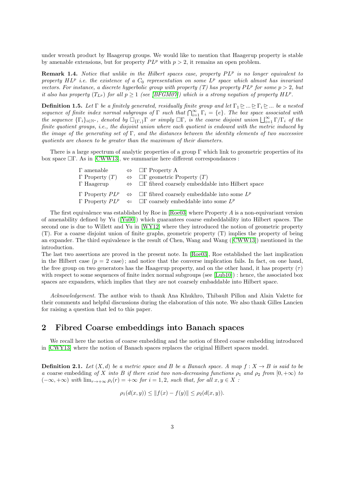under wreath product by Haagerup groups. We would like to mention that Haagerup property is stable by amenable extensions, but for property  $PL^p$  with  $p > 2$ , it remains an open problem.

**Remark 1.4.** Notice that unlike in the Hilbert spaces case, property  $PL^p$  is no longer equivalent to property  $HL^p$  i.e. the existence of a  $C_0$  representation on some  $L^p$  space which almost has invariant vectors. For instance, a discrete hyperbolic group with property (T) has property  $PL^p$  for some  $p > 2$ , but it also has property  $(T_{L^p})$  for all  $p \geq 1$  (see [\[BFGM07\]](#page-7-1)) which is a strong negation of property HL<sup>p</sup>.

**Definition 1.5.** Let  $\Gamma$  be a finitely generated, residually finite group and let  $\Gamma_1 \trianglerighteq ... \trianglerighteq \Gamma_i \trianglerighteq ...$  be a nested sequence of finite index normal subgroups of  $\Gamma$  such that  $\bigcap_{i=1}^{\infty} \Gamma_i = \{e\}$ . The box space associated with the sequence  $\{\Gamma_i\}_{i\in\mathbb{N}^*}$ , denoted by  $\Box_{\{\Gamma_i\}}\Gamma$  or simply  $\Box\Gamma$ , is the coarse disjoint union  $\bigsqcup_{i=1}^{\infty}\Gamma/\Gamma_i$  of the finite quotient groups, i.e., the disjoint union where each quotient is endowed with the metric induced by the image of the generating set of  $\Gamma$ , and the distances between the identity elements of two successive quotients are chosen to be greater than the maximum of their diameters.

There is a large spectrum of analytic properties of a group Γ which link to geometric properties of its box space  $\Box \Gamma$ . As in [\[CWW13\]](#page-8-1), we summarize here different correspondances :

| $\Gamma$ amenable $\Leftrightarrow$ $\Box \Gamma$ Property A |                                                                                                 |
|--------------------------------------------------------------|-------------------------------------------------------------------------------------------------|
| $\Gamma$ Property $(T)$                                      | $\Leftrightarrow$ $\Box\Gamma$ geometric Property $(T)$                                         |
| $\Gamma$ Haagerup                                            | $\Leftrightarrow$ $\square\Gamma$ fibred coarsely embeddable into Hilbert space                 |
|                                                              | $\Gamma$ Property $PL^p \Leftrightarrow \Box \Gamma$ fibred coarsely embeddable into some $L^p$ |
|                                                              | $\Gamma$ Property $PL^p \Leftrightarrow \Box \Gamma$ coarsely embeddable into some $L^p$        |

The first equivalence was established by Roe in [\[Roe03\]](#page-8-2) where Property A is a non-equivariant version of amenability defined by Yu([\[Yu00\]](#page-8-13)) which guarantees coarse embeddability into Hilbert spaces. The second one is due to Willett and Yu in [\[WY12\]](#page-8-14) where they introduced the notion of geometric property (T). For a coarse disjoint union of finite graphs, geometric property (T) implies the property of being an expander. The third equivalence is the result of Chen, Wang and Wang([\[CWW13\]](#page-8-1)) mentioned in the introduction.

The last two assertions are proved in the present note. In [\[Roe03\]](#page-8-2), Roe established the last implication in the Hilbert case  $(p = 2 \text{ case})$ ; and notice that the converse implication fails. In fact, on one hand, the free group on two generators has the Haagerup property, and on the other hand, it has property  $(\tau)$ with respect to some sequences of finite index normal subgroups (see [\[Lub10\]](#page-8-15)) : hence, the associated box spaces are expanders, which implies that they are not coarsely embaddable into Hilbert space.

Acknowledgement. The author wish to thank Ana Khukhro, Thibault Pillon and Alain Valette for their comments and helpful discussions during the elaboration of this note. We also thank Gilles Lancien for raising a question that led to this paper.

# 2 Fibred Coarse embeddings into Banach spaces

We recall here the notion of coarse embedding and the notion of fibred coarse embedding introduced in [\[CWY13\]](#page-8-0) where the notion of Banach spaces replaces the original Hilbert spaces model.

**Definition 2.1.** Let  $(X, d)$  be a metric space and B be a Banach space. A map  $f : X \to B$  is said to be a coarse embedding of X into B if there exist two non-decreasing functions  $\rho_1$  and  $\rho_2$  from  $[0, +\infty)$  to  $(-\infty, +\infty)$  with  $\lim_{r \to +\infty} \rho_i(r) = +\infty$  for  $i = 1, 2$ , such that, for all  $x, y \in X$ :

$$
\rho_1(d(x, y)) \le ||f(x) - f(y)|| \le \rho_2(d(x, y)).
$$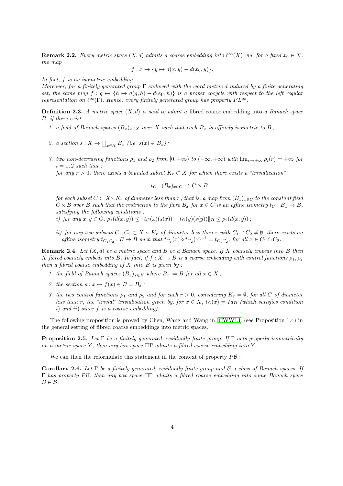<span id="page-3-0"></span>**Remark 2.2.** Every metric space  $(X, d)$  admits a coarse embedding into  $\ell^{\infty}(X)$  via, for a fixed  $x_0 \in X$ , the map

$$
f: x \to \{y \mapsto d(x, y) - d(x_0, y)\}.
$$

In fact, f is an isometric embedding.

Moreover, for a finitely generated group  $\Gamma$  endowed with the word metric d induced by a finite generating set, the same map  $f : g \mapsto \{h \mapsto d(g, h) - d(e_{\Gamma}, h)\}\$  is a proper cocycle with respect to the left regular representation on  $\ell^{\infty}(\Gamma)$ . Hence, every finitely generated group has property  $PL^{\infty}$ .

<span id="page-3-1"></span>**Definition 2.3.** A metric space  $(X, d)$  is said to admit a fibred coarse embedding into a Banach space B, if there exist :

- 1. a field of Banach spaces  $(B_x)_{x\in X}$  over X such that each  $B_x$  is affinely isometric to B;
- 2. a section  $s: X \to \bigsqcup_{x \in X} B_x$  (i.e.  $s(x) \in B_x$ );
- 3. two non-decreasing functions  $\rho_1$  and  $\rho_2$  from  $[0, +\infty)$  to  $(-\infty, +\infty)$  with  $\lim_{r \to +\infty} \rho_i(r) = +\infty$  for  $i = 1, 2 \text{ such that :}$

for any  $r > 0$ , there exists a bounded subset  $K_r \subset X$  for which there exists a "trivialization"

$$
t_C : (B_x)_{x \in C} \to C \times B
$$

for each subset  $C \subset X\setminus K_r$  of diameter less than r; that is, a map from  $(B_x)_{x\in C}$  to the constant field  $C \times B$  over B such that the restriction to the fibre  $B_x$  for  $x \in C$  is an affine isometry  $t_C : B_x \to B$ , satisfying the following conditions :

i) for any  $x, y \in C$ ,  $\rho_1(d(x, y)) \leq ||t_C(x)(s(x)) - t_C(y)(s(y))||_B \leq \rho_2(d(x, y))$ ;

ii) for any two subsets  $C_1, C_2 \subset X \setminus K_r$  of diameter less than r with  $C_1 \cap C_2 \neq \emptyset$ , there exists an affine isometry  $t_{C_1C_2}$ :  $B \to B$  such that  $t_{C_1}(x) \circ t_{C_2}(x)^{-1} = t_{C_1C_2}$ , for all  $x \in C_1 \cap C_2$ .

**Remark 2.4.** Let  $(X, d)$  be a metric space and B be a Banach space. If X coarsely embeds into B then X fibred coarsely embeds into B. In fact, if  $f : X \to B$  is a coarse embedding with control functions  $\rho_1, \rho_2$ then a fibred coarse embedding of  $X$  into  $B$  is given by :

- 1. the field of Banach spaces  $(B_x)_{x\in X}$  where  $B_x := B$  for all  $x \in X$ ;
- 2. the section  $s: x \mapsto f(x) \in B = B_x$ ;
- 3. the two control functions  $\rho_1$  and  $\rho_2$  and for each  $r > 0$ , considering  $K_r = \emptyset$ , for all C of diameter less than r, the "trivial" trivialisation given by, for  $x \in X$ ,  $t_C(x) = Id_B$  (which satisfies condition i) and ii) since  $f$  is a coarse embedding).

The following proposition is proved by Chen, Wang and Wang in [\[CWW13\]](#page-8-1) (see Proposition 1.4) in the general setting of fibred coarse embeddings into metric spaces.

**Proposition 2.5.** Let  $\Gamma$  be a finitely generated, residually finite group. If  $\Gamma$  acts properly isometrically on a metric space Y, then any box space  $\Box\Gamma$  admits a fibred coarse embedding into Y.

We can then the reformulate this statement in the context of property  $P\mathcal{B}$ :

<span id="page-3-2"></span>Corollary 2.6. Let  $\Gamma$  be a finitely generated, residually finite group and B a class of Banach spaces. If Γ has property PB, then any box space  $\Box \Gamma$  admits a fibred coarse embedding into some Banach space  $B \in \mathcal{B}$ .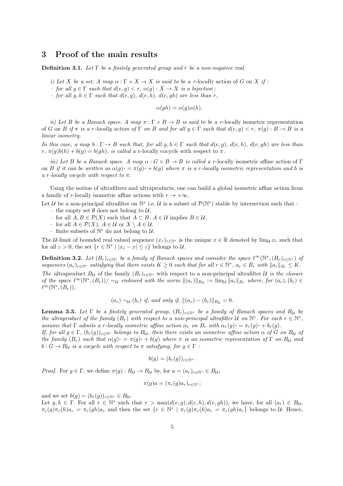# 3 Proof of the main results

**Definition 3.1.** Let  $\Gamma$  be a finitely generated group and r be a non-negative real.

i) Let X be a set. A map  $\alpha : \Gamma \times X \to X$  is said to be a r-locally action of G on X if :

– for all  $g \in \Gamma$  such that  $d(e, g) < r$ ,  $\alpha(g) : X \to X$  is a bijection;

– for all  $g, h \in \Gamma$  such that  $d(e, g), d(e, h), d(e, gh)$  are less than r,

 $\alpha(gh) = \alpha(g)\alpha(h).$ 

ii) Let B be a Banach space. A map  $\pi : \Gamma \times B \to B$  is said to be a r-locally isometric representation of G on B if  $\pi$  is a r-locally action of  $\Gamma$  on B and for all  $g \in \Gamma$  such that  $d(e, g) < r$ ,  $\pi(g) : B \to B$  is a linear isometry.

In this case, a map  $b : \Gamma \to B$  such that, for all  $g, h \in \Gamma$  such that  $d(e, g), d(e, h), d(e, gh)$  are less than r,  $\pi(q)b(h) + b(q) = b(qh)$ , is called a r-locally cocycle with respect to  $\pi$ .

iii) Let B be a Banach space. A map  $\alpha$ :  $G \times B \to B$  is called a r-locally isometric affine action of Γ on B if it can be written as  $\alpha(g) \cdot = \pi(g) \cdot + b(g)$  where  $\pi$  is a r-locally isometric representation and b is a r-locally cocycle with respect to  $\pi$ .

Using the notion of ultrafilters and ultraproducts, one can build a global isometric affine action from a family of r-locally isometric affine actions with  $r \to +\infty$ .

Let U be a non-principal ultrafilter on  $\mathbb{N}^*$  i.e. U is a subset of  $\mathcal{P}(\mathbb{N}^*)$  stable by intersection such that :

- the empty set  $\emptyset$  does not belong to  $\mathcal{U}$ ,
- for all  $A, B \in \mathcal{P}(X)$  such that  $A \subset B$ ,  $A \in \mathcal{U}$  implies  $B \in \mathcal{U}$ ,
- for all  $A \in \mathcal{P}(X)$ ,  $A \in \mathcal{U}$  or  $X \setminus A \in \mathcal{U}$ .
- − finite subsets of  $\mathbb{N}^*$  do not belong to  $\mathcal{U}$ .

The U-limit of bounded real valued sequence  $(x_r)_{r\in\mathbb{N}^*}$  is the unique  $x \in \mathbb{R}$  denoted by lim<sub>U</sub>  $x_r$  such that for all  $\varepsilon > 0$ , the set  $\{r \in \mathbb{N}^* \mid |x_r - x| \leq \varepsilon\}$  belongs to U.

<span id="page-4-0"></span>**Definition 3.2.** Let  $(B_r)_{r \in \mathbb{N}^*}$  be a family of Banach spaces and consider the space  $\ell^{\infty}(\mathbb{N}^*, (B_r)_{r \in \mathbb{N}^*})$  of sequences  $(a_r)_{r \in \mathbb{N}^*}$  satisfying that there exists  $K \geq 0$  such that for all  $r \in \mathbb{N}^*$ ,  $a_r \in B_r$  with  $||a_r||_{B_i} \leq K$ . The ultraproduct  $B_{\mathcal{U}}$  of the family  $(B_r)_{r \in \mathbb{N}^*}$  with respect to a non-principal ultrafilter  $\mathcal{U}$  is the closure of the space  $\ell^{\infty}(\mathbb{N}^*, (B_r))/\sim_{\mathcal{U}}$  endowed with the norm  $\|(a_r)\|_{B_{\mathcal{U}}} := \lim_{\mathcal{U}} \|a_r\|_{B_r}$  where, for  $(a_r), (b_r) \in$  $\ell^{\infty}(\mathbb{N}^*, (B_r)),$ 

$$
(a_r) \sim_{\mathcal{U}} (b_r)
$$
 if, and only if,  $||(a_r) - (b_r)||_{B_{\mathcal{U}}} = 0$ .

<span id="page-4-1"></span>**Lemma 3.3.** Let  $\Gamma$  be a finitely generated group,  $(B_r)_{r \in \mathbb{N}^*}$  be a family of Banach spaces and  $B_u$  be the ultraproduct of the family  $(B_r)$  with respect to a non-principal ultrafilter U on  $\mathbb{N}^*$ . For each  $r \in \mathbb{N}^*$ , assume that  $\Gamma$  admits a r-locally isometric affine action  $\alpha_r$  on  $B_r$  with  $\alpha_r(q) \cdot = \pi_r(q) \cdot + b_r(q)$ .

If, for all  $g \in \Gamma$ ,  $(b_r(g))_{r \in \mathbb{N}^*}$  belongs to  $B_{\mathcal{U}}$ , then there exists an isometric affine action  $\alpha$  of G on  $B_{\mathcal{U}}$  of the family  $(B_r)$  such that  $\alpha(g) \cdot = \pi(g) \cdot + b(g)$  where  $\pi$  is an isometric representation of  $\Gamma$  on  $B_u$  and  $b: G \to B_{\mathcal{U}}$  is a cocycle with respect to  $\pi$  satisfying, for  $g \in \Gamma$ :

$$
b(g) = (b_r(g))_{r \in \mathbb{N}^*}.
$$

*Proof.* For  $g \in \Gamma$ , we define  $\pi(g) : B_{\mathcal{U}} \to B_{\mathcal{U}}$  by, for  $a = (a_r)_{r \in \mathbb{N}^*} \in B_{\mathcal{U}}$ ,

$$
\pi(g)a = (\pi_r(g)a_r)_{r \in \mathbb{N}^*};
$$

and we set  $b(g) = (b_r(g))_{r \in \mathbb{N}^*} \in B_{\mathcal{U}}$ .

Let  $g, h \in \Gamma$ . For all  $r \in \mathbb{N}^*$  such that  $r > \max(d(e, g), d(e, h), d(e, gh))$ , we have, for all  $(a_r) \in B_{\mathcal{U}}$ ,  $\pi_r(g)\pi_r(h)a_r = \pi_r(gh)a_r$  and then the set  $\{r \in \mathbb{N}^* \mid \pi_r(g)\pi_r(h)a_r = \pi_r(gh)a_r\}$  belongs to U. Hence,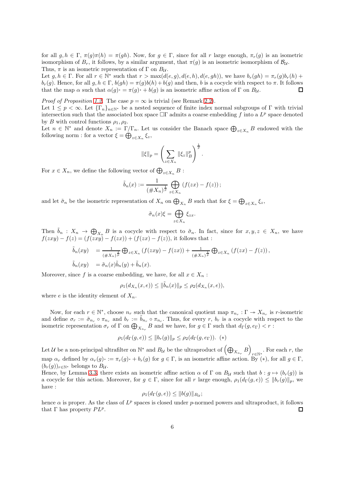for all  $g, h \in \Gamma$ ,  $\pi(g)\pi(h) = \pi(gh)$ . Now, for  $g \in \Gamma$ , since for all r large enough,  $\pi_r(g)$  is an isometric isomorphism of  $B_r$ , it follows, by a similar argument, that  $\pi(q)$  is an isometric isomorphism of  $B_u$ . Thus,  $\pi$  is an isometric representation of  $\Gamma$  on  $B_{\mathcal{U}}$ .

Let  $g, h \in \Gamma$ . For all  $r \in \mathbb{N}^*$  such that  $r > \max(d(e, g), d(e, h), d(e, gh))$ , we have  $b_r(gh) = \pi_r(g)b_r(h) +$  $b_r(g)$ . Hence, for all  $g, h \in \Gamma$ ,  $b(gh) = \pi(g)b(h) + b(g)$  and then, b is a cocycle with respect to  $\pi$ . It follows that the map  $\alpha$  such that  $\alpha(g) \cdot = \pi(g) \cdot + b(g)$  is an isometric affine action of  $\Gamma$  on  $B_{\mathcal{U}}$ .  $\Box$ 

*Proof of Proposition [1.2.](#page-0-1)* The case  $p = \infty$  is trivial (see Remark [2.2\)](#page-3-0). Let  $1 \leq p < \infty$ . Let  $\{\Gamma_n\}_{n\in\mathbb{N}^*}$  be a nested sequence of finite index normal subgroups of Γ with trivial intersection such that the associated box space  $\Box\Gamma$  admits a coarse embedding f into a  $L^p$  space denoted by B with control functions  $\rho_1, \rho_2$ .

Let  $n \in \mathbb{N}^*$  and denote  $X_n := \Gamma/\Gamma_n$ . Let us consider the Banach space  $\bigoplus_{z \in X_n} B$  endowed with the following norm : for a vector  $\xi = \bigoplus_{z \in X_n} \xi_z$ ,

$$
\|\xi\|_{p} = \left(\sum_{z \in X_n} \|\xi_z\|_B^p\right)^{\frac{1}{p}}.
$$

For  $x \in X_n$ , we define the following vector of  $\bigoplus_{z \in X_n} B$ :

$$
\tilde{b}_n(x) := \frac{1}{(\#X_n)^{\frac{1}{p}}} \bigoplus_{z \in X_n} (f(zx) - f(z));
$$

and let  $\tilde{\sigma}_n$  be the isometric representation of  $X_n$  on  $\bigoplus_{X_n} B$  such that for  $\xi = \bigoplus_{z \in X_n} \xi_z$ ,

$$
\tilde{\sigma}_n(x)\xi = \bigoplus_{z \in X_n} \xi_{zx}.
$$

Then  $\tilde{b}_n$  :  $X_n \to \bigoplus_{X_n} B$  is a cocycle with respect to  $\tilde{\sigma}_n$ . In fact, since for  $x, y, z \in X_n$ , we have  $f(zxy) - f(z) = (f(zxy) - f(zx)) + (f(zx) - f(z)),$  it follows that :

$$
\tilde{b}_n(xy) = \frac{1}{(\#X_n)^{\frac{1}{p}}} \bigoplus_{z \in X_n} (f(zxy) - f(zx)) + \frac{1}{(\#X_n)^{\frac{1}{p}}} \bigoplus_{z \in X_n} (f(zx) - f(z)),
$$
  

$$
\tilde{b}_n(xy) = \tilde{\sigma}_n(x)\tilde{b}_n(y) + \tilde{b}_n(x).
$$

Moreover, since f is a coarse embedding, we have, for all  $x \in X_n$ :

$$
\rho_1(d_{X_n}(x,e)) \le \|\tilde{b}_n(x)\|_p \le \rho_2(d_{X_n}(x,e)),
$$

where e is the identity element of  $X_n$ .

Now, for each  $r \in \mathbb{N}^*$ , choose  $n_r$  such that the canonical quotient map  $\pi_{n_r} : \Gamma \to X_{n_r}$  is r-isometric and define  $\sigma_r := \tilde{\sigma}_{n_r} \circ \pi_{n_r}$  and  $b_r := \tilde{b}_{n_r} \circ \pi_{n_r}$ . Thus, for every r,  $b_r$  is a cocycle with respect to the isometric representation  $\sigma_r$  of  $\Gamma$  on  $\bigoplus_{X_{n_r}} B$  and we have, for  $g \in \Gamma$  such that  $d_{\Gamma}(g, e_{\Gamma}) < r$ :

$$
\rho_1(d_{\Gamma}(g, e)) \le ||b_r(g)||_p \le \rho_2(d_{\Gamma}(g, e_{\Gamma})).
$$
 (\*)

Let  $\mathcal U$  be a non-principal ultrafilter on  $\mathbb N^*$  and  $B_{\mathcal U}$  be the ultraproduct of  $\left(\bigoplus_{X_{n_r}} B\right)$  $r \in \mathbb{N}^*$ . For each r, the map  $\alpha_r$  defined by  $\alpha_r(g) \cdot := \pi_r(g) \cdot + b_r(g)$  for  $g \in \Gamma$ , is an isometric affine action. By  $(*)$ , for all  $g \in \Gamma$ ,  $(b_r(q))_{r\in\mathbb{N}^*}$  belongs to  $B_{\mathcal{U}}$ .

Hence, by Lemma [3.3,](#page-4-1) there exists an isometric affine action  $\alpha$  of  $\Gamma$  on  $B_{\mathcal{U}}$  such that  $b : g \mapsto (b_r(g))$  is a cocycle for this action. Moreover, for  $g \in \Gamma$ , since for all r large enough,  $\rho_1(d_{\Gamma}(g,e)) \leq ||b_r(g)||_p$ , we have :

$$
\rho_1(d_{\Gamma}(g,e)) \leq ||b(g)||_{B_{\mathcal{U}}};
$$

hence  $\alpha$  is proper. As the class of  $L^p$  spaces is closed under p-normed powers and ultraproduct, it follows that  $\Gamma$  has property  $PL^p$ . П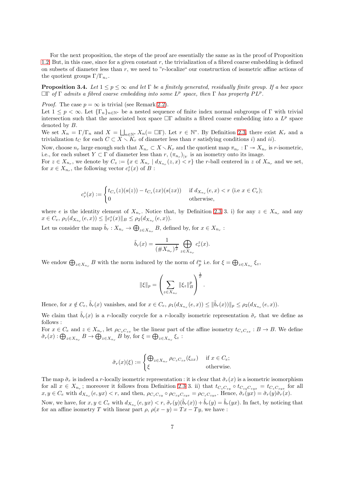For the next proposition, the steps of the proof are essentially the same as in the proof of Proposition [1.2.](#page-0-1) But, in this case, since for a given constant r, the trivialization of a fibred coarse embedding is defined on subsets of diameter less than  $r$ , we need to "r-localize" our construction of isometric affine actions of the quotient groups  $\Gamma/\Gamma_{n_r}$ .

<span id="page-6-0"></span>**Proposition 3.4.** Let  $1 \leq p \leq \infty$  and let  $\Gamma$  be a finitely generated, residually finite group. If a box space  $\Box \Gamma$  of  $\Gamma$  admits a fibred coarse embedding into some  $L^p$  space, then  $\Gamma$  has property  $PL^p$ .

*Proof.* The case  $p = \infty$  is trivial (see Remark [2.2\)](#page-3-0).

Let  $1 \leq p < \infty$ . Let  $\{\Gamma_n\}_{n\in\mathbb{N}^*}$  be a nested sequence of finite index normal subgroups of Γ with trivial intersection such that the associated box space  $\Box\Gamma$  admits a fibred coarse embedding into a  $L^p$  space denoted by B.

We set  $X_n = \Gamma/\Gamma_n$  and  $X = \bigsqcup_{n \in \mathbb{N}^*} X_n (= \square \Gamma)$ . Let  $r \in \mathbb{N}^*$ . By Definition [2.3,](#page-3-1) there exist  $K_r$  and a trivialization  $t_C$  for each  $C \subset X \setminus K_r$  of diameter less than r satisfying conditions i) and ii).

Now, choose  $n_r$  large enough such that  $X_{n_r} \subset X \setminus K_r$  and the quotient map  $\pi_{n_r} : \Gamma \to X_{n_r}$  is r-isometric, i.e., for each subset  $Y \subset \Gamma$  of diameter less than  $r, (\pi_{n_r})_{|Y}$  is an isometry onto its image.

For  $z \in X_{n_r}$ , we denote by  $C_z := \{x \in X_{n_r} \mid d_{X_{n_r}}(z, x) < r\}$  the r-ball centered in z of  $X_{n_r}$  and we set, for  $x \in X_{n_r}$ , the following vector  $c_r^z(x)$  of B:

$$
c_r^z(x) := \begin{cases} t_{C_z}(z)(s(z)) - t_{C_z}(zx)(s(zx)) & \text{if } d_{X_{n_r}}(e,x) < r \text{ (i.e } x \in C_e); \\ 0 & \text{otherwise,} \end{cases}
$$

where e is the identity element of  $X_{n_r}$ . Notice that, by Definition [2.3](#page-3-1) 3. i) for any  $z \in X_{n_r}$  and any  $x \in C_e$ ,  $\rho_1(d_{X_{n_r}}(e,x)) \leq ||c_r^z(x)||_B \leq \rho_2(d_{X_{n_r}}(e,x)).$ 

Let us consider the map  $\tilde{b}_r : X_{n_r} \to \bigoplus_{z \in X_{n_r}} B$ , defined by, for  $x \in X_{n_r}$ :

for an affine isometry T with linear part  $\rho$ ,  $\rho(x - y) = Tx - Ty$ , we have :

$$
\tilde{b}_r(x) = \frac{1}{(\# X_{n_r})^{\frac{1}{p}}} \bigoplus_{z \in X_{n_r}} c_r^z(x).
$$

We endow  $\bigoplus_{z\in X_{n_r}}B$  with the norm induced by the norm of  $\ell_p^n$  i.e. for  $\xi = \bigoplus_{z\in X_{n_r}}\xi_z$ ,

$$
\|\xi\|_{p} = \left(\sum_{z \in X_{n_r}} \|\xi_z\|_{B}^{p}\right)^{\frac{1}{p}}.
$$

Hence, for  $x \notin C_e$ ,  $\tilde{b}_r(x)$  vanishes, and for  $x \in C_e$ ,  $\rho_1(d_{X_{n_r}}(e,x)) \leq ||\tilde{b}_r(x)||_p \leq \rho_2(d_{X_{n_r}}(e,x)).$ 

We claim that  $\tilde{b}_r(x)$  is a r-locally cocycle for a r-locally isometric representation  $\tilde{\sigma}_r$  that we define as follows :

For  $x \in C_e$  and  $z \in X_{n_r}$ , let  $\rho_{C_zC_{zx}}$  be the linear part of the affine isometry  $t_{C_zC_{zx}}: B \to B$ . We define  $\tilde{\sigma}_r(x): \bigoplus_{z \in X_{n_r}} B \to \bigoplus_{z \in X_{n_r}} B$  by, for  $\xi = \bigoplus_{z \in X_{n_r}} \xi_z$ :

$$
\tilde{\sigma}_r(x)(\xi) := \begin{cases} \bigoplus_{z \in X_{n_r}} \rho_{C_z C_{zx}}(\xi_{zx}) & \text{if } x \in C_e; \\ \xi & \text{otherwise.} \end{cases}
$$

The map  $\tilde{\sigma}_r$  is indeed a r-locally isometric representation : it is clear that  $\tilde{\sigma}_r(x)$  is a isometric isomorphism for all  $x \in X_{n_r}$ ; moreover it follows from Definition [2.3](#page-3-1) 3. ii) that  $t_{C_zC_{zy}} \circ t_{C_{zy}C_{zyx}} = t_{C_zC_{zyx}}$  for all  $x, y \in C_e$  with  $d_{X_{n_r}}(e, yx) < r$ , and then,  $\rho_{C_zC_{zy}} \circ \rho_{C_{zy}C_{zyx}} = \rho_{C_zC_{zyx}}$ . Hence,  $\tilde{\sigma}_r(yx) = \tilde{\sigma}_r(y)\tilde{\sigma}_r(x)$ . Now, we have, for  $x, y \in C_e$  with  $d_{X_{n_r}}(e, yx) < r$ ,  $\tilde{\sigma}_r(y)(\tilde{b}_r(x)) + \tilde{b}_r(y) = \tilde{b}_r(yx)$ . In fact, by noticing that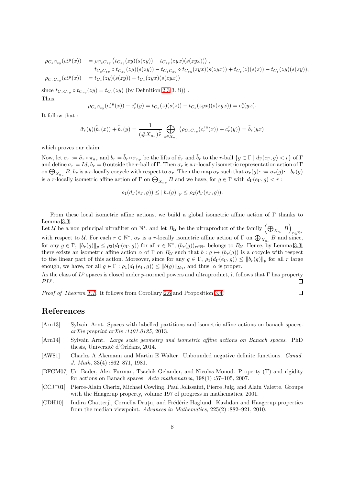$$
\begin{array}{lll} \rho_{C_zC_{zy}}(c_r^{zy}(x))&=\rho_{C_zC_{zy}}\left(t_{C_{zy}}(zy)(s(zy))-t_{C_{zy}}(zyx)(s(zyx))\right),\\&=t_{C_zC_{zy}}\circ t_{C_{zy}}(zy)(s(zy))-t_{C_zC_{zy}}\circ t_{C_{zy}}(zyx)(s(zyx))+t_{C_z}(z)(s(z))-t_{C_z}(zy)(s(zy)),\\ \rho_{C_zC_{zy}}(c_r^{zy}(x))&=t_{C_z}(zy)(s(zy))-t_{C_z}(zyx)(s(zyx)) \end{array}
$$

since  $t_{C_zC_{zy}} \circ t_{C_{zy}}(zy) = t_{C_z}(zy)$  (by Definition [2.3](#page-3-1) 3. ii)). Thus,

$$
\rho_{C_zC_{zy}}(c_r^{zy}(x)) + c_r^z(y) = t_{C_z}(z)(s(z)) - t_{C_z}(zyx)(s(zyx)) = c_r^z(yx).
$$

It follow that :

$$
\tilde{\sigma}_r(y)(\tilde{b}_r(x)) + \tilde{b}_r(y) = \frac{1}{(\#X_{n_r})^{\frac{1}{p}}} \bigoplus_{z \in X_{n_r}} (\rho_{C_z C_{zy}}(c_r^{zy}(x)) + c_r^{z}(y)) = \tilde{b}_r(yx)
$$

which proves our claim.

Now, let  $\sigma_r := \tilde{\sigma}_r \circ \pi_{n_r}$  and  $b_r = \tilde{b}_r \circ \pi_{n_r}$  be the lifts of  $\tilde{\sigma}_r$  and  $\tilde{b}_r$  to the r-ball  $\{g \in \Gamma \mid d_\Gamma(e_\Gamma, g) < r\}$  of  $\Gamma$ and define  $\sigma_r = Id$ ,  $b_r = 0$  outside the r-ball of Γ. Then  $\sigma_r$  is a r-locally isometric representation action of Γ on  $\bigoplus_{X_{n_r}} B$ ,  $b_r$  is a r-locally cocycle with respect to  $\sigma_r$ . Then the map  $\alpha_r$  such that  $\alpha_r(g) \cdot := \sigma_r(g) \cdot + b_r(g)$ is a *r*-locally isometric affine action of  $\Gamma$  on  $\bigoplus_{X_{n_r}} B$  and we have, for  $g \in \Gamma$  with  $d_{\Gamma}(e_{\Gamma}, g) < r$ :

$$
\rho_1(d_{\Gamma}(e_{\Gamma}, g)) \leq ||b_r(g)||_p \leq \rho_2(d_{\Gamma}(e_{\Gamma}, g)).
$$

From these local isometric affine actions, we build a global isometric affine action of Γ thanks to Lemma [3.3.](#page-4-1)

Let  $\mathcal U$  be a non principal ultrafilter on  $\mathbb N^*$ , and let  $B_\mathcal U$  be the ultraproduct of the family  $\left(\bigoplus_{X_{n_r}} B\right)$ r∈N<sup>∗</sup> with respect to U. For each  $r \in \mathbb{N}^*$ ,  $\alpha_r$  is a r-locally isometric affine action of  $\Gamma$  on  $\bigoplus_{X_{n_r}} B$  and since, for any  $g \in \Gamma$ ,  $||b_r(g)||_p \leq \rho_2(d_\Gamma(e_\Gamma, g))$  for all  $r \in \mathbb{N}^*$ ,  $(b_r(g))_{r \in \mathbb{N}^*}$  belongs to  $B_{\mathcal{U}}$ . Hence, by Lemma [3.3,](#page-4-1) there exists an isometric affine action  $\alpha$  of  $\Gamma$  on  $B_{\mathcal{U}}$  such that  $b : g \mapsto (b_r(g))$  is a cocycle with respect to the linear part of this action. Moreover, since for any  $g \in \Gamma$ ,  $\rho_1(d_{\Gamma}(e_{\Gamma}, g)) \leq ||b_r(g)||_p$  for all r large enough, we have, for all  $g \in \Gamma : \rho_1(d_\Gamma(e_\Gamma, g)) \le ||b(g)||_{B_{\mathcal{U}}}$ , and thus,  $\alpha$  is proper.

As the class of  $L^p$  spaces is closed under p-normed powers and ultraproduct, it follows that  $\Gamma$  has property  $PL^p$ .  $\Box$ 

 $\Box$ 

Proof of Theorem [1.1.](#page-0-0) It follows from Corollary [2.6](#page-3-2) and Proposition [3.4.](#page-6-0)

# References

- <span id="page-7-4"></span>[Arn13] Sylvain Arnt. Spaces with labelled partitions and isometric affine actions on banach spaces. arXiv preprint arXiv :1401.0125, 2013.
- <span id="page-7-5"></span>[Arn14] Sylvain Arnt. Large scale geometry and isometric affine actions on Banach spaces. PhD thesis, Université d'Orléans, 2014.
- <span id="page-7-2"></span>[AW81] Charles A Akemann and Martin E Walter. Unbounded negative definite functions. Canad. J. Math, 33(4) :862–871, 1981.
- <span id="page-7-1"></span>[BFGM07] Uri Bader, Alex Furman, Tsachik Gelander, and Nicolas Monod. Property (T) and rigidity for actions on Banach spaces. Acta mathematica, 198(1) :57–105, 2007.
- <span id="page-7-0"></span>[CCJ<sup>+</sup>01] Pierre-Alain Cherix, Michael Cowling, Paul Jolissaint, Pierre Julg, and Alain Valette. Groups with the Haagerup property, volume 197 of progress in mathematics, 2001.
- <span id="page-7-3"></span>[CDH10] Indira Chatterji, Cornelia Druțu, and Frédéric Haglund. Kazhdan and Haagerup properties from the median viewpoint. Advances in Mathematics, 225(2) :882–921, 2010.